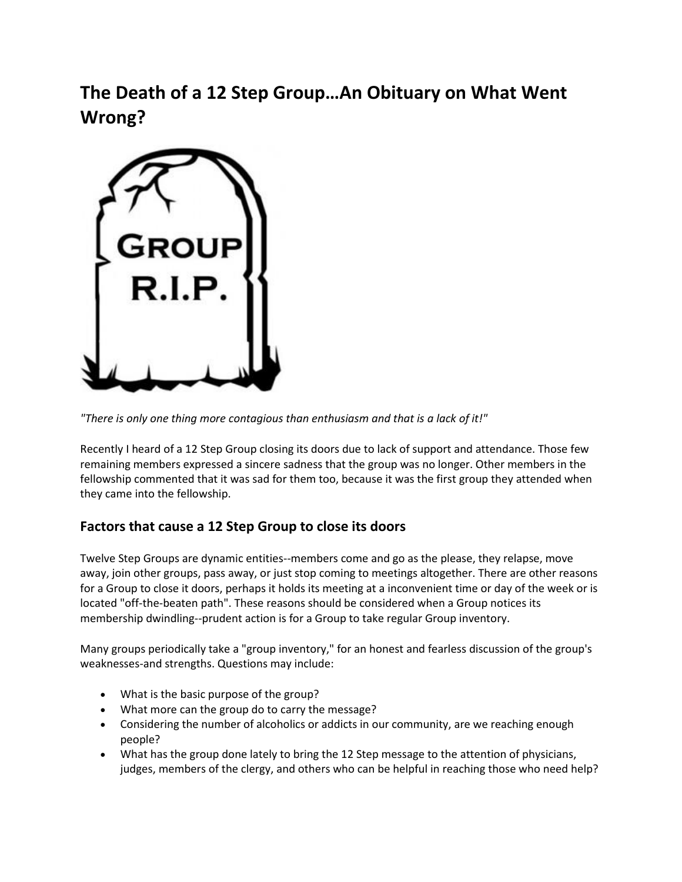**The Death of a 12 Step Group…An Obituary on What Went Wrong?**



*"There is only one thing more contagious than enthusiasm and that is a lack of it!"*

Recently I heard of a 12 Step Group closing its doors due to lack of support and attendance. Those few remaining members expressed a sincere sadness that the group was no longer. Other members in the fellowship commented that it was sad for them too, because it was the first group they attended when they came into the fellowship.

## **Factors that cause a 12 Step Group to close its doors**

Twelve Step Groups are dynamic entities--members come and go as the please, they relapse, move away, join other groups, pass away, or just stop coming to meetings altogether. There are other reasons for a Group to close it doors, perhaps it holds its meeting at a inconvenient time or day of the week or is located "off-the-beaten path". These reasons should be considered when a Group notices its membership dwindling--prudent action is for a Group to take regular Group inventory.

Many groups periodically take a "group inventory," for an honest and fearless discussion of the group's weaknesses-and strengths. Questions may include:

- What is the basic purpose of the group?
- What more can the group do to carry the message?
- Considering the number of alcoholics or addicts in our community, are we reaching enough people?
- What has the group done lately to bring the 12 Step message to the attention of physicians, judges, members of the clergy, and others who can be helpful in reaching those who need help?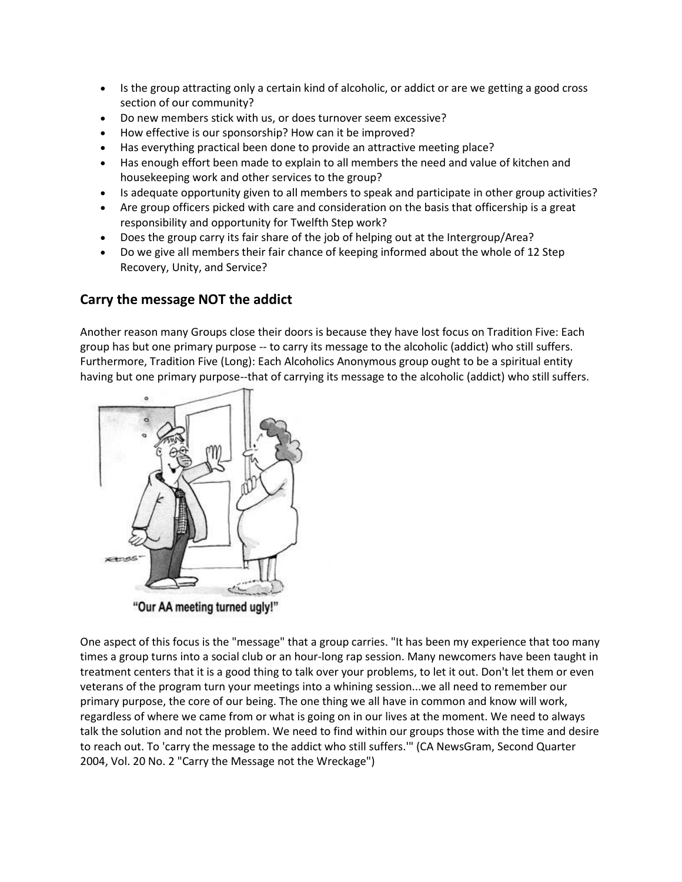- Is the group attracting only a certain kind of alcoholic, or addict or are we getting a good cross section of our community?
- Do new members stick with us, or does turnover seem excessive?
- How effective is our sponsorship? How can it be improved?
- Has everything practical been done to provide an attractive meeting place?
- Has enough effort been made to explain to all members the need and value of kitchen and housekeeping work and other services to the group?
- Is adequate opportunity given to all members to speak and participate in other group activities?
- Are group officers picked with care and consideration on the basis that officership is a great responsibility and opportunity for Twelfth Step work?
- Does the group carry its fair share of the job of helping out at the Intergroup/Area?
- Do we give all members their fair chance of keeping informed about the whole of 12 Step Recovery, Unity, and Service?

## **Carry the message NOT the addict**

Another reason many Groups close their doors is because they have lost focus on Tradition Five: Each group has but one primary purpose -- to carry its message to the alcoholic (addict) who still suffers. Furthermore, Tradition Five (Long): Each Alcoholics Anonymous group ought to be a spiritual entity having but one primary purpose--that of carrying its message to the alcoholic (addict) who still suffers.



One aspect of this focus is the "message" that a group carries. "It has been my experience that too many times a group turns into a social club or an hour-long rap session. Many newcomers have been taught in treatment centers that it is a good thing to talk over your problems, to let it out. Don't let them or even veterans of the program turn your meetings into a whining session...we all need to remember our primary purpose, the core of our being. The one thing we all have in common and know will work, regardless of where we came from or what is going on in our lives at the moment. We need to always talk the solution and not the problem. We need to find within our groups those with the time and desire to reach out. To 'carry the message to the addict who still suffers.'" (CA NewsGram, Second Quarter 2004, Vol. 20 No. 2 "Carry the Message not the Wreckage")